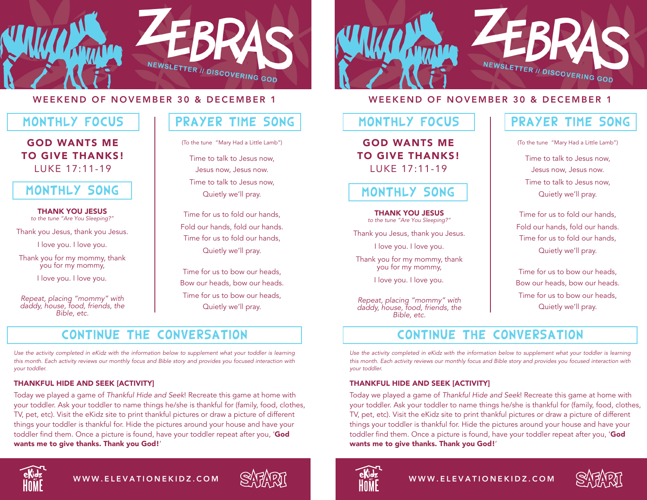

#### WEEKEND OF NOVEMBER 30 & DECEMBER 1

### MONTHLY FOCUS

GOD WANTS ME TO GIVE THANKS! LUKE 17:11-19

## MONTHLY SONG

THANK YOU JESUS to the tune "Are You Sleeping?"

Thank you Jesus, thank you Jesus.

I love you. I love you.

Thank you for my mommy, thank you for my mommy,

I love you. I love you.

*Repeat, placing "mommy" with daddy, house, food, friends, the Bible, etc.*

# PRAYER TIME SONG

(To the tune "Mary Had a Little Lamb")

Time to talk to Jesus now, Jesus now, Jesus now. Time to talk to Jesus now, Quietly we'll pray.

Time for us to fold our hands, Fold our hands, fold our hands. Time for us to fold our hands, Quietly we'll pray.

Time for us to bow our heads, Bow our heads, bow our heads. Time for us to bow our heads, Quietly we'll pray.

# CONTINUE THE CONVERSATION

*Use the activity completed in eKidz with the information below to supplement what your toddler is learning this month. Each activity reviews our monthly focus and Bible story and provides you focused interaction with your toddler.*

#### THANKFUL HIDE AND SEEK [ACTIVITY]

Today we played a game of *Thankful Hide and Seek*! Recreate this game at home with your toddler. Ask your toddler to name things he/she is thankful for (family, food, clothes, TV, pet, etc). Visit the eKidz site to print thankful pictures or draw a picture of different things your toddler is thankful for. Hide the pictures around your house and have your toddler find them. Once a picture is found, have your toddler repeat after you, 'God wants me to give thanks. Thank you God!'



WWW.ELEVATIONEKIDZ.COM





#### WEEKEND OF NOVEMBER 30 & DECEMBER 1

### MONTHLY FOCUS

GOD WANTS ME TO GIVE THANKS! LUKE 17:11-19

## MONTHLY SONG

#### THANK YOU JESUS

to the tune "Are You Sleeping?"

Thank you Jesus, thank you Jesus.

I love you. I love you.

Thank you for my mommy, thank you for my mommy,

I love you. I love you.

*Repeat, placing "mommy" with daddy, house, food, friends, the Bible, etc.*

## PRAYER TIME SONG

(To the tune "Mary Had a Little Lamb")

Time to talk to Jesus now, Jesus now, Jesus now. Time to talk to Jesus now, Quietly we'll pray.

Time for us to fold our hands, Fold our hands, fold our hands. Time for us to fold our hands, Quietly we'll pray.

Time for us to bow our heads, Bow our heads, bow our heads. Time for us to bow our heads, Quietly we'll pray.

# CONTINUE THE CONVERSATION

*Use the activity completed in eKidz with the information below to supplement what your toddler is learning this month. Each activity reviews our monthly focus and Bible story and provides you focused interaction with your toddler.*

#### THANKFUL HIDE AND SEEK [ACTIVITY]

Today we played a game of *Thankful Hide and Seek*! Recreate this game at home with your toddler. Ask your toddler to name things he/she is thankful for (family, food, clothes, TV, pet, etc). Visit the eKidz site to print thankful pictures or draw a picture of different things your toddler is thankful for. Hide the pictures around your house and have your toddler find them. Once a picture is found, have your toddler repeat after you, 'God wants me to give thanks. Thank you God!'